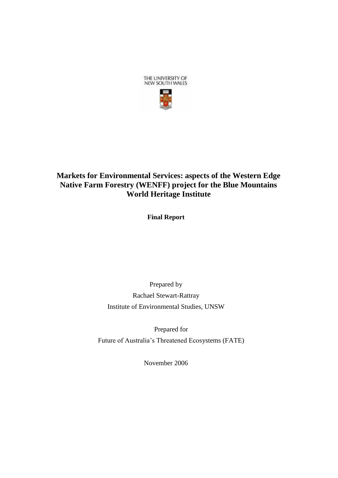

# **Markets for Environmental Services: aspects of the Western Edge Native Farm Forestry (WENFF) project for the Blue Mountains World Heritage Institute**

**Final Report** 

Prepared by Rachael Stewart-Rattray Institute of Environmental Studies, UNSW

Prepared for Future of Australia"s Threatened Ecosystems (FATE)

November 2006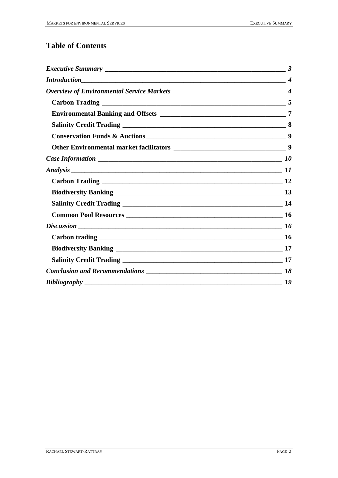# **Table of Contents**

| $Discussion$ 16 |
|-----------------|
|                 |
|                 |
|                 |
|                 |
|                 |
|                 |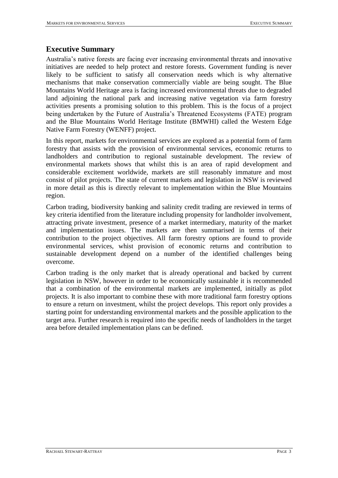### <span id="page-2-0"></span>**Executive Summary**

Australia"s native forests are facing ever increasing environmental threats and innovative initiatives are needed to help protect and restore forests. Government funding is never likely to be sufficient to satisfy all conservation needs which is why alternative mechanisms that make conservation commercially viable are being sought. The Blue Mountains World Heritage area is facing increased environmental threats due to degraded land adjoining the national park and increasing native vegetation via farm forestry activities presents a promising solution to this problem. This is the focus of a project being undertaken by the Future of Australia"s Threatened Ecosystems (FATE) program and the Blue Mountains World Heritage Institute (BMWHI) called the Western Edge Native Farm Forestry (WENFF) project.

In this report, markets for environmental services are explored as a potential form of farm forestry that assists with the provision of environmental services, economic returns to landholders and contribution to regional sustainable development. The review of environmental markets shows that whilst this is an area of rapid development and considerable excitement worldwide, markets are still reasonably immature and most consist of pilot projects. The state of current markets and legislation in NSW is reviewed in more detail as this is directly relevant to implementation within the Blue Mountains region.

Carbon trading, biodiversity banking and salinity credit trading are reviewed in terms of key criteria identified from the literature including propensity for landholder involvement, attracting private investment, presence of a market intermediary, maturity of the market and implementation issues. The markets are then summarised in terms of their contribution to the project objectives. All farm forestry options are found to provide environmental services, whist provision of economic returns and contribution to sustainable development depend on a number of the identified challenges being overcome.

Carbon trading is the only market that is already operational and backed by current legislation in NSW, however in order to be economically sustainable it is recommended that a combination of the environmental markets are implemented, initially as pilot projects. It is also important to combine these with more traditional farm forestry options to ensure a return on investment, whilst the project develops. This report only provides a starting point for understanding environmental markets and the possible application to the target area. Further research is required into the specific needs of landholders in the target area before detailed implementation plans can be defined.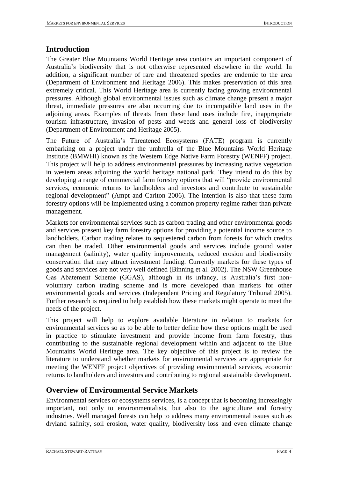### <span id="page-3-0"></span>**Introduction**

The Greater Blue Mountains World Heritage area contains an important component of Australia"s biodiversity that is not otherwise represented elsewhere in the world. In addition, a significant number of rare and threatened species are endemic to the area (Department of Environment and Heritage 2006). This makes preservation of this area extremely critical. This World Heritage area is currently facing growing environmental pressures. Although global environmental issues such as climate change present a major threat, immediate pressures are also occurring due to incompatible land uses in the adjoining areas. Examples of threats from these land uses include fire, inappropriate tourism infrastructure, invasion of pests and weeds and general loss of biodiversity (Department of Environment and Heritage 2005).

The Future of Australia"s Threatened Ecosystems (FATE) program is currently embarking on a project under the umbrella of the Blue Mountains World Heritage Institute (BMWHI) known as the Western Edge Native Farm Forestry (WENFF) project. This project will help to address environmental pressures by increasing native vegetation in western areas adjoining the world heritage national park. They intend to do this by developing a range of commercial farm forestry options that will "provide environmental services, economic returns to landholders and investors and contribute to sustainable regional development" (Ampt and Carlton 2006). The intention is also that these farm forestry options will be implemented using a common property regime rather than private management.

Markets for environmental services such as carbon trading and other environmental goods and services present key farm forestry options for providing a potential income source to landholders. Carbon trading relates to sequestered carbon from forests for which credits can then be traded. Other environmental goods and services include ground water management (salinity), water quality improvements, reduced erosion and biodiversity conservation that may attract investment funding. Currently markets for these types of goods and services are not very well defined (Binning et al. 2002). The NSW Greenhouse Gas Abatement Scheme (GGAS), although in its infancy, is Australia's first nonvoluntary carbon trading scheme and is more developed than markets for other environmental goods and services (Independent Pricing and Regulatory Tribunal 2005). Further research is required to help establish how these markets might operate to meet the needs of the project.

This project will help to explore available literature in relation to markets for environmental services so as to be able to better define how these options might be used in practice to stimulate investment and provide income from farm forestry, thus contributing to the sustainable regional development within and adjacent to the Blue Mountains World Heritage area. The key objective of this project is to review the literature to understand whether markets for environmental services are appropriate for meeting the WENFF project objectives of providing environmental services, economic returns to landholders and investors and contributing to regional sustainable development.

### <span id="page-3-1"></span>**Overview of Environmental Service Markets**

Environmental services or ecosystems services, is a concept that is becoming increasingly important, not only to environmentalists, but also to the agriculture and forestry industries. Well managed forests can help to address many environmental issues such as dryland salinity, soil erosion, water quality, biodiversity loss and even climate change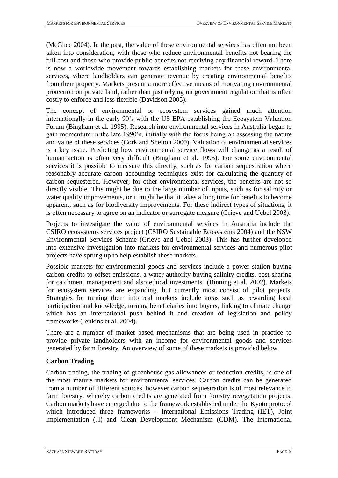(McGhee 2004). In the past, the value of these environmental services has often not been taken into consideration, with those who reduce environmental benefits not bearing the full cost and those who provide public benefits not receiving any financial reward. There is now a worldwide movement towards establishing markets for these environmental services, where landholders can generate revenue by creating environmental benefits from their property. Markets present a more effective means of motivating environmental protection on private land, rather than just relying on government regulation that is often costly to enforce and less flexible (Davidson 2005).

The concept of environmental or ecosystem services gained much attention internationally in the early 90"s with the US EPA establishing the Ecosystem Valuation Forum (Bingham et al. 1995). Research into environmental services in Australia began to gain momentum in the late 1990"s, initially with the focus being on assessing the nature and value of these services (Cork and Shelton 2000). Valuation of environmental services is a key issue. Predicting how environmental service flows will change as a result of human action is often very difficult (Bingham et al. 1995). For some environmental services it is possible to measure this directly, such as for carbon sequestration where reasonably accurate carbon accounting techniques exist for calculating the quantity of carbon sequestered. However, for other environmental services, the benefits are not so directly visible. This might be due to the large number of inputs, such as for salinity or water quality improvements, or it might be that it takes a long time for benefits to become apparent, such as for biodiversity improvements. For these indirect types of situations, it is often necessary to agree on an indicator or surrogate measure (Grieve and Uebel 2003).

Projects to investigate the value of environmental services in Australia include the CSIRO ecosystems services project (CSIRO Sustainable Ecosystems 2004) and the NSW Environmental Services Scheme (Grieve and Uebel 2003). This has further developed into extensive investigation into markets for environmental services and numerous pilot projects have sprung up to help establish these markets.

Possible markets for environmental goods and services include a power station buying carbon credits to offset emissions, a water authority buying salinity credits, cost sharing for catchment management and also ethical investments (Binning et al. 2002). Markets for ecosystem services are expanding, but currently most consist of pilot projects. Strategies for turning them into real markets include areas such as rewarding local participation and knowledge, turning beneficiaries into buyers, linking to climate change which has an international push behind it and creation of legislation and policy frameworks (Jenkins et al. 2004).

There are a number of market based mechanisms that are being used in practice to provide private landholders with an income for environmental goods and services generated by farm forestry. An overview of some of these markets is provided below.

#### <span id="page-4-0"></span>**Carbon Trading**

Carbon trading, the trading of greenhouse gas allowances or reduction credits, is one of the most mature markets for environmental services. Carbon credits can be generated from a number of different sources, however carbon sequestration is of most relevance to farm forestry, whereby carbon credits are generated from forestry revegetation projects. Carbon markets have emerged due to the framework established under the Kyoto protocol which introduced three frameworks – International Emissions Trading (IET), Joint Implementation (JI) and Clean Development Mechanism (CDM). The International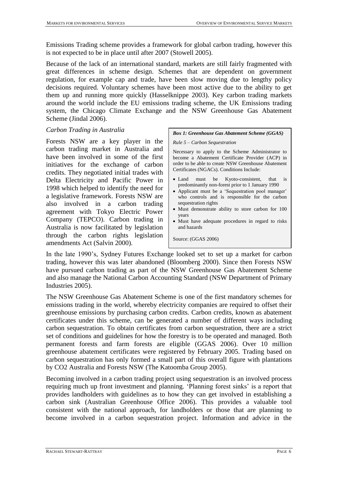Emissions Trading scheme provides a framework for global carbon trading, however this is not expected to be in place until after 2007 (Stowell 2005).

Because of the lack of an international standard, markets are still fairly fragmented with great differences in scheme design. Schemes that are dependent on government regulation, for example cap and trade, have been slow moving due to lengthy policy decisions required. Voluntary schemes have been most active due to the ability to get them up and running more quickly (Hasselknippe 2003). Key carbon trading markets around the world include the EU emissions trading scheme, the UK Emissions trading system, the Chicago Climate Exchange and the NSW Greenhouse Gas Abatement Scheme (Jindal 2006).

#### *Carbon Trading in Australia*

Forests NSW are a key player in the carbon trading market in Australia and have been involved in some of the first initiatives for the exchange of carbon credits. They negotiated initial trades with Delta Electricity and Pacific Power in 1998 which helped to identify the need for a legislative framework. Forests NSW are also involved in a carbon trading agreement with Tokyo Electric Power Company (TEPCO). Carbon trading in Australia is now facilitated by legislation through the carbon rights legislation amendments Act (Salvin 2000).

#### *Box 1: Greenhouse Gas Abatement Scheme (GGAS)*

#### *Rule 5 – Carbon Sequestration*

Necessary to apply to the Scheme Administrator to become a Abatement Certificate Provider (ACP) in order to be able to create NSW Greenhouse Abatement Certificates (NGACs). Conditions Include:

- Land must be Kyoto-consistent, that is predominantly non-forest prior to 1 January 1990
- Applicant must be a 'Sequestration pool manager' who controls and is responsible for the carbon sequestration rights
- Must demonstrate ability to store carbon for 100 years
- Must have adequate procedures in regard to risks and hazards

Source: (GGAS 2006)

In the late 1990"s, Sydney Futures Exchange looked set to set up a market for carbon trading, however this was later abandoned (Bloomberg 2000). Since then Forests NSW have pursued carbon trading as part of the NSW Greenhouse Gas Abatement Scheme and also manage the National Carbon Accounting Standard (NSW Department of Primary Industries 2005).

The NSW Greenhouse Gas Abatement Scheme is one of the first mandatory schemes for emissions trading in the world, whereby electricity companies are required to offset their greenhouse emissions by purchasing carbon credits. Carbon credits, known as abatement certificates under this scheme, can be generated a number of different ways including carbon sequestration. To obtain certificates from carbon sequestration, there are a strict set of conditions and guidelines for how the forestry is to be operated and managed. Both permanent forests and farm forests are eligible (GGAS 2006). Over 10 million greenhouse abatement certificates were registered by February 2005. Trading based on carbon sequestration has only formed a small part of this overall figure with plantations by CO2 Australia and Forests NSW (The Katoomba Group 2005).

Becoming involved in a carbon trading project using sequestration is an involved process requiring much up front investment and planning. 'Planning forest sinks' is a report that provides landholders with guidelines as to how they can get involved in establishing a carbon sink (Australian Greenhouse Office 2006). This provides a valuable tool consistent with the national approach, for landholders or those that are planning to become involved in a carbon sequestration project. Information and advice in the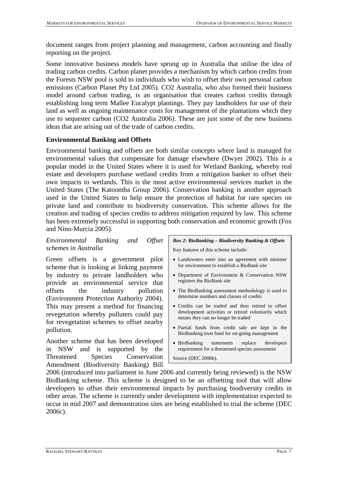document ranges from project planning and management, carbon accounting and finally reporting on the project.

Some innovative business models have sprung up in Australia that utilise the idea of trading carbon credits. Carbon planet provides a mechanism by which carbon credits from the Forests NSW pool is sold to individuals who wish to offset their own personal carbon emissions (Carbon Planet Pty Ltd 2005). CO2 Australia, who also formed their business model around carbon trading, is an organisation that creates carbon credits through establishing long term Mallee Eucalypt plantings. They pay landholders for use of their land as well as ongoing maintenance costs for management of the plantations which they use to sequester carbon (CO2 Australia 2006). These are just some of the new business ideas that are arising out of the trade of carbon credits.

### <span id="page-6-0"></span>**Environmental Banking and Offsets**

Environmental banking and offsets are both similar concepts where land is managed for environmental values that compensate for damage elsewhere (Dwyer 2002). This is a popular model in the United States where it is used for Wetland Banking, whereby real estate and developers purchase wetland credits from a mitigation banker to offset their own impacts to wetlands. This is the most active environmental services market in the United States (The Katoomba Group 2006). Conservation banking is another approach used in the United States to help ensure the protection of habitat for rare species on private land and contribute to biodiversity conservation. This scheme allows for the creation and trading of species credits to address mitigation required by law. This scheme has been extremely successful in supporting both conservation and economic growth (Fox and Nino-Murcia 2005).

### *Environmental Banking and Offset schemes in Australia*

Green offsets is a government pilot scheme that is looking at linking payment by industry to private landholders who provide an environmental service that offsets the industry pollution (Environment Protection Authority 2004). This may present a method for financing revegetation whereby polluters could pay for revegetation schemes to offset nearby pollution.

Another scheme that has been developed in NSW and is supported by the Threatened Species Conservation Amendment (Biodiversity Banking) Bill

# *Box 2: BioBanking – Biodiversity Banking & Offsets*

Key features of this scheme include:

- Landowners enter into an agreement with minister for environment to establish a BioBank site
- Department of Environment & Conservation NSW registers the BioBank site
- The BioBanking assessment methodology is used to determine numbers and classes of credits
- Credits can be traded and then retired to offset development activities or retired voluntarily which means they can no longer be traded
- Partial funds from credit sale are kept in the BioBanking trust fund for on-going management
- BioBanking statements replace developers requirement for a threatened species assessment

Source (DEC 2006b).

2006 (introduced into parliament in June 2006 and currently being reviewed) is the NSW BioBanking scheme. This scheme is designed to be an offsetting tool that will allow developers to offset their environmental impacts by purchasing biodiversity credits in other areas. The scheme is currently under development with implementation expected to occur in mid 2007 and demonstration sites are being established to trial the scheme (DEC 2006c).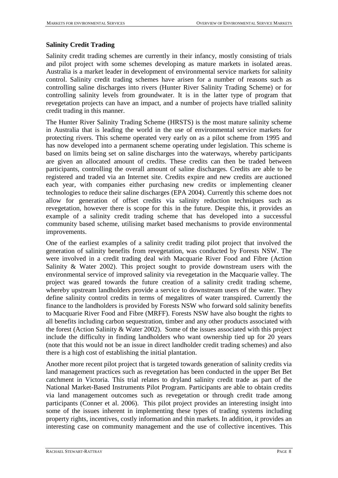### <span id="page-7-0"></span>**Salinity Credit Trading**

Salinity credit trading schemes are currently in their infancy, mostly consisting of trials and pilot project with some schemes developing as mature markets in isolated areas. Australia is a market leader in development of environmental service markets for salinity control. Salinity credit trading schemes have arisen for a number of reasons such as controlling saline discharges into rivers (Hunter River Salinity Trading Scheme) or for controlling salinity levels from groundwater. It is in the latter type of program that revegetation projects can have an impact, and a number of projects have trialled salinity credit trading in this manner.

The Hunter River Salinity Trading Scheme (HRSTS) is the most mature salinity scheme in Australia that is leading the world in the use of environmental service markets for protecting rivers. This scheme operated very early on as a pilot scheme from 1995 and has now developed into a permanent scheme operating under legislation. This scheme is based on limits being set on saline discharges into the waterways, whereby participants are given an allocated amount of credits. These credits can then be traded between participants, controlling the overall amount of saline discharges. Credits are able to be registered and traded via an Internet site. Credits expire and new credits are auctioned each year, with companies either purchasing new credits or implementing cleaner technologies to reduce their saline discharges (EPA 2004). Currently this scheme does not allow for generation of offset credits via salinity reduction techniques such as revegetation, however there is scope for this in the future. Despite this, it provides an example of a salinity credit trading scheme that has developed into a successful community based scheme, utilising market based mechanisms to provide environmental improvements.

One of the earliest examples of a salinity credit trading pilot project that involved the generation of salinity benefits from revegetation, was conducted by Forests NSW. The were involved in a credit trading deal with Macquarie River Food and Fibre (Action Salinity & Water 2002). This project sought to provide downstream users with the environmental service of improved salinity via revegetation in the Macquarie valley. The project was geared towards the future creation of a salinity credit trading scheme, whereby upstream landholders provide a service to downstream users of the water. They define salinity control credits in terms of megalitres of water transpired. Currently the finance to the landholders is provided by Forests NSW who forward sold salinity benefits to Macquarie River Food and Fibre (MRFF). Forests NSW have also bought the rights to all benefits including carbon sequestration, timber and any other products associated with the forest (Action Salinity & Water 2002). Some of the issues associated with this project include the difficulty in finding landholders who want ownership tied up for 20 years (note that this would not be an issue in direct landholder credit trading schemes) and also there is a high cost of establishing the initial plantation.

Another more recent pilot project that is targeted towards generation of salinity credits via land management practices such as revegetation has been conducted in the upper Bet Bet catchment in Victoria. This trial relates to dryland salinity credit trade as part of the National Market-Based Instruments Pilot Program. Participants are able to obtain credits via land management outcomes such as revegetation or through credit trade among participants (Conner et al. 2006). This pilot project provides an interesting insight into some of the issues inherent in implementing these types of trading systems including property rights, incentives, costly information and thin markets. In addition, it provides an interesting case on community management and the use of collective incentives. This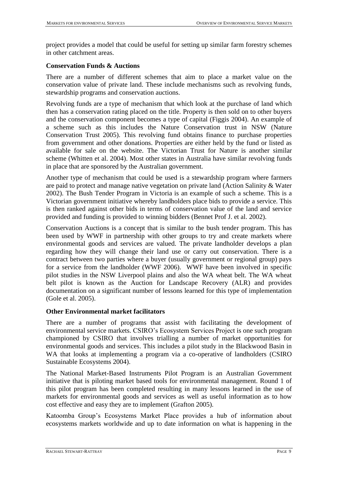project provides a model that could be useful for setting up similar farm forestry schemes in other catchment areas.

#### <span id="page-8-0"></span>**Conservation Funds & Auctions**

There are a number of different schemes that aim to place a market value on the conservation value of private land. These include mechanisms such as revolving funds, stewardship programs and conservation auctions.

Revolving funds are a type of mechanism that which look at the purchase of land which then has a conservation rating placed on the title. Property is then sold on to other buyers and the conservation component becomes a type of capital (Figgis 2004). An example of a scheme such as this includes the Nature Conservation trust in NSW (Nature Conservation Trust 2005). This revolving fund obtains finance to purchase properties from government and other donations. Properties are either held by the fund or listed as available for sale on the website. The Victorian Trust for Nature is another similar scheme (Whitten et al. 2004). Most other states in Australia have similar revolving funds in place that are sponsored by the Australian government.

Another type of mechanism that could be used is a stewardship program where farmers are paid to protect and manage native vegetation on private land (Action Salinity & Water 2002). The Bush Tender Program in Victoria is an example of such a scheme. This is a Victorian government initiative whereby landholders place bids to provide a service. This is then ranked against other bids in terms of conservation value of the land and service provided and funding is provided to winning bidders (Bennet Prof J. et al. 2002).

Conservation Auctions is a concept that is similar to the bush tender program. This has been used by WWF in partnership with other groups to try and create markets where environmental goods and services are valued. The private landholder develops a plan regarding how they will change their land use or carry out conservation. There is a contract between two parties where a buyer (usually government or regional group) pays for a service from the landholder (WWF 2006). WWF have been involved in specific pilot studies in the NSW Liverpool plains and also the WA wheat belt. The WA wheat belt pilot is known as the Auction for Landscape Recovery (ALR) and provides documentation on a significant number of lessons learned for this type of implementation (Gole et al. 2005).

#### <span id="page-8-1"></span>**Other Environmental market facilitators**

There are a number of programs that assist with facilitating the development of environmental service markets. CSIRO"s Ecosystem Services Project is one such program championed by CSIRO that involves trialling a number of market opportunities for environmental goods and services. This includes a pilot study in the Blackwood Basin in WA that looks at implementing a program via a co-operative of landholders (CSIRO Sustainable Ecosystems 2004).

The National Market-Based Instruments Pilot Program is an Australian Government initiative that is piloting market based tools for environmental management. Round 1 of this pilot program has been completed resulting in many lessons learned in the use of markets for environmental goods and services as well as useful information as to how cost effective and easy they are to implement (Grafton 2005).

Katoomba Group"s Ecosystems Market Place provides a hub of information about ecosystems markets worldwide and up to date information on what is happening in the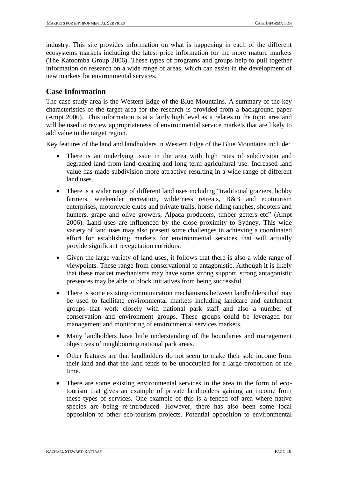industry. This site provides information on what is happening in each of the different ecosystems markets including the latest price information for the more mature markets (The Katoomba Group 2006). These types of programs and groups help to pull together information on research on a wide range of areas, which can assist in the development of new markets for environmental services.

### <span id="page-9-0"></span>**Case Information**

The case study area is the Western Edge of the Blue Mountains. A summary of the key characteristics of the target area for the research is provided from a background paper (Ampt 2006). This information is at a fairly high level as it relates to the topic area and will be used to review appropriateness of environmental service markets that are likely to add value to the target region.

Key features of the land and landholders in Western Edge of the Blue Mountains include:

- There is an underlying issue in the area with high rates of subdivision and degraded land from land clearing and long term agricultural use. Increased land value has made subdivision more attractive resulting in a wide range of different land uses.
- There is a wider range of different land uses including "traditional graziers, hobby farmers, weekender recreation, wilderness retreats, B&B and ecotourism enterprises, motorcycle clubs and private trails, horse riding ranches, shooters and hunters, grape and olive growers, Alpaca producers, timber getters etc" (Ampt 2006). Land uses are influenced by the close proximity to Sydney. This wide variety of land uses may also present some challenges in achieving a coordinated effort for establishing markets for environmental services that will actually provide significant revegetation corridors.
- Given the large variety of land uses, it follows that there is also a wide range of viewpoints. These range from conservational to antagonistic. Although it is likely that these market mechanisms may have some strong support, strong antagonistic presences may be able to block initiatives from being successful.
- There is some existing communication mechanisms between landholders that may be used to facilitate environmental markets including landcare and catchment groups that work closely with national park staff and also a number of conservation and environment groups. These groups could be leveraged for management and monitoring of environmental services markets.
- Many landholders have little understanding of the boundaries and management objectives of neighbouring national park areas.
- Other features are that landholders do not seem to make their sole income from their land and that the land tends to be unoccupied for a large proportion of the time.
- There are some existing environmental services in the area in the form of ecotourism that gives an example of private landholders gaining an income from these types of services. One example of this is a fenced off area where native species are being re-introduced. However, there has also been some local opposition to other eco-tourism projects. Potential opposition to environmental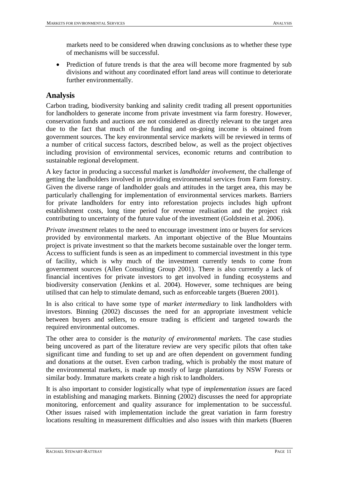markets need to be considered when drawing conclusions as to whether these type of mechanisms will be successful.

• Prediction of future trends is that the area will become more fragmented by sub divisions and without any coordinated effort land areas will continue to deteriorate further environmentally.

## <span id="page-10-0"></span>**Analysis**

Carbon trading, biodiversity banking and salinity credit trading all present opportunities for landholders to generate income from private investment via farm forestry. However, conservation funds and auctions are not considered as directly relevant to the target area due to the fact that much of the funding and on-going income is obtained from government sources. The key environmental service markets will be reviewed in terms of a number of critical success factors, described below, as well as the project objectives including provision of environmental services, economic returns and contribution to sustainable regional development.

A key factor in producing a successful market is *landholder involvement*, the challenge of getting the landholders involved in providing environmental services from Farm forestry. Given the diverse range of landholder goals and attitudes in the target area, this may be particularly challenging for implementation of environmental services markets. Barriers for private landholders for entry into reforestation projects includes high upfront establishment costs, long time period for revenue realisation and the project risk contributing to uncertainty of the future value of the investment (Goldstein et al. 2006).

*Private investment* relates to the need to encourage investment into or buyers for services provided by environmental markets. An important objective of the Blue Mountains project is private investment so that the markets become sustainable over the longer term. Access to sufficient funds is seen as an impediment to commercial investment in this type of facility, which is why much of the investment currently tends to come from government sources (Allen Consulting Group 2001). There is also currently a lack of financial incentives for private investors to get involved in funding ecosystems and biodiversity conservation (Jenkins et al. 2004). However, some techniques are being utilised that can help to stimulate demand, such as enforceable targets (Bueren 2001).

In is also critical to have some type of *market intermediary* to link landholders with investors. Binning (2002) discusses the need for an appropriate investment vehicle between buyers and sellers, to ensure trading is efficient and targeted towards the required environmental outcomes.

The other area to consider is the *maturity of environmental markets.* The case studies being uncovered as part of the literature review are very specific pilots that often take significant time and funding to set up and are often dependent on government funding and donations at the outset. Even carbon trading, which is probably the most mature of the environmental markets, is made up mostly of large plantations by NSW Forests or similar body. Immature markets create a high risk to landholders.

It is also important to consider logistically what type of *implementation issues* are faced in establishing and managing markets. Binning (2002) discusses the need for appropriate monitoring, enforcement and quality assurance for implementation to be successful. Other issues raised with implementation include the great variation in farm forestry locations resulting in measurement difficulties and also issues with thin markets (Bueren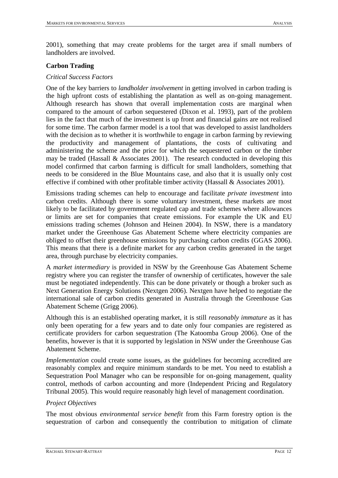2001), something that may create problems for the target area if small numbers of landholders are involved.

#### <span id="page-11-0"></span>**Carbon Trading**

#### *Critical Success Factors*

One of the key barriers to *landholder involvement* in getting involved in carbon trading is the high upfront costs of establishing the plantation as well as on-going management. Although research has shown that overall implementation costs are marginal when compared to the amount of carbon sequestered (Dixon et al. 1993), part of the problem lies in the fact that much of the investment is up front and financial gains are not realised for some time. The carbon farmer model is a tool that was developed to assist landholders with the decision as to whether it is worthwhile to engage in carbon farming by reviewing the productivity and management of plantations, the costs of cultivating and administering the scheme and the price for which the sequestered carbon or the timber may be traded (Hassall  $&$  Associates 2001). The research conducted in developing this model confirmed that carbon farming is difficult for small landholders, something that needs to be considered in the Blue Mountains case, and also that it is usually only cost effective if combined with other profitable timber activity (Hassall & Associates 2001).

Emissions trading schemes can help to encourage and facilitate *private investment* into carbon credits. Although there is some voluntary investment, these markets are most likely to be facilitated by government regulated cap and trade schemes where allowances or limits are set for companies that create emissions. For example the UK and EU emissions trading schemes (Johnson and Heinen 2004). In NSW, there is a mandatory market under the Greenhouse Gas Abatement Scheme where electricity companies are obliged to offset their greenhouse emissions by purchasing carbon credits (GGAS 2006). This means that there is a definite market for any carbon credits generated in the target area, through purchase by electricity companies.

A *market intermediary* is provided in NSW by the Greenhouse Gas Abatement Scheme registry where you can register the transfer of ownership of certificates, however the sale must be negotiated independently. This can be done privately or though a broker such as Next Generation Energy Solutions (Nextgen 2006). Nextgen have helped to negotiate the international sale of carbon credits generated in Australia through the Greenhouse Gas Abatement Scheme (Grigg 2006).

Although this is an established operating market, it is still *reasonably immature* as it has only been operating for a few years and to date only four companies are registered as certificate providers for carbon sequestration (The Katoomba Group 2006). One of the benefits, however is that it is supported by legislation in NSW under the Greenhouse Gas Abatement Scheme.

*Implementation* could create some issues, as the guidelines for becoming accredited are reasonably complex and require minimum standards to be met. You need to establish a Sequestration Pool Manager who can be responsible for on-going management, quality control, methods of carbon accounting and more (Independent Pricing and Regulatory Tribunal 2005). This would require reasonably high level of management coordination.

#### *Project Objectives*

The most obvious *environmental service benefit* from this Farm forestry option is the sequestration of carbon and consequently the contribution to mitigation of climate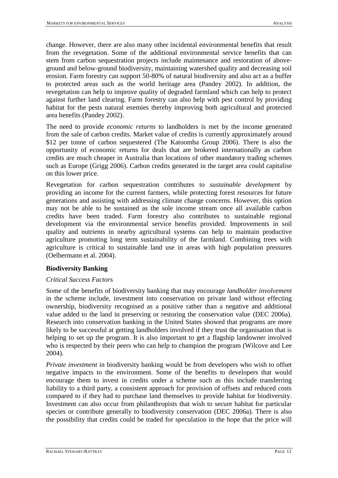change. However, there are also many other incidental environmental benefits that result from the revegetation. Some of the additional environmental service benefits that can stem from carbon sequestration projects include maintenance and restoration of aboveground and below-ground biodiversity, maintaining watershed quality and decreasing soil erosion. Farm forestry can support 50-80% of natural biodiversity and also act as a buffer to protected areas such as the world heritage area (Pandey 2002). In addition, the revegetation can help to improve quality of degraded farmland which can help to protect against further land clearing. Farm forestry can also help with pest control by providing habitat for the pests natural enemies thereby improving both agricultural and protected area benefits (Pandey 2002).

The need to provide *economic returns* to landholders is met by the income generated from the sale of carbon credits. Market value of credits is currently approximately around \$12 per tonne of carbon sequestered (The Katoomba Group 2006). There is also the opportunity of economic returns for deals that are brokered internationally as carbon credits are much cheaper in Australia than locations of other mandatory trading schemes such as Europe (Grigg 2006). Carbon credits generated in the target area could capitalise on this lower price.

Revegetation for carbon sequestration contributes to *sustainable development* by providing an income for the current farmers, while protecting forest resources for future generations and assisting with addressing climate change concerns. However, this option may not be able to be sustained as the sole income stream once all available carbon credits have been traded. Farm forestry also contributes to sustainable regional development via the environmental service benefits provided. Improvements in soil quality and nutrients in nearby agricultural systems can help to maintain productive agriculture promoting long term sustainability of the farmland. Combining trees with agriculture is critical to sustainable land use in areas with high population pressures (Oelbermann et al. 2004).

#### <span id="page-12-0"></span>**Biodiversity Banking**

#### *Critical Success Factors*

Some of the benefits of biodiversity banking that may encourage *landholder involvement* in the scheme include, investment into conservation on private land without effecting ownership, biodiversity recognised as a positive rather than a negative and additional value added to the land in preserving or restoring the conservation value (DEC 2006a). Research into conservation banking in the United States showed that programs are more likely to be successful at getting landholders involved if they trust the organisation that is helping to set up the program. It is also important to get a flagship landowner involved who is respected by their peers who can help to champion the program (Wilcove and Lee 2004).

*Private investment* in biodiversity banking would be from developers who wish to offset negative impacts to the environment. Some of the benefits to developers that would encourage them to invest in credits under a scheme such as this include transferring liability to a third party, a consistent approach for provision of offsets and reduced costs compared to if they had to purchase land themselves to provide habitat for biodiversity. Investment can also occur from philanthropists that wish to secure habitat for particular species or contribute generally to biodiversity conservation (DEC 2006a). There is also the possibility that credits could be traded for speculation in the hope that the price will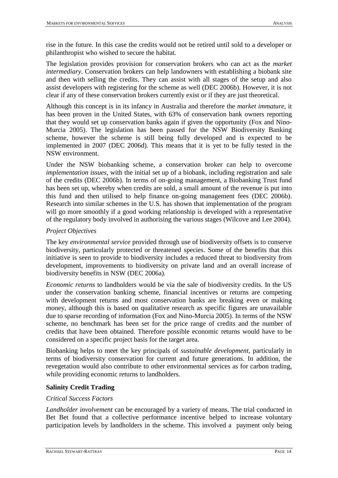rise in the future. In this case the credits would not be retired until sold to a developer or philanthropist who wished to secure the habitat.

The legislation provides provision for conservation brokers who can act as the *market intermediary*. Conservation brokers can help landowners with establishing a biobank site and then with selling the credits. They can assist with all stages of the setup and also assist developers with registering for the scheme as well (DEC 2006b). However, it is not clear if any of these conservation brokers currently exist or if they are just theoretical.

Although this concept is in its infancy in Australia and therefore the *market immature*, it has been proven in the United States, with 63% of conservation bank owners reporting that they would set up conservation banks again if given the opportunity (Fox and Nino-Murcia 2005). The legislation has been passed for the NSW Biodiversity Banking scheme, however the scheme is still being fully developed and is expected to be implemented in 2007 (DEC 2006d). This means that it is yet to be fully tested in the NSW environment.

Under the NSW biobanking scheme, a conservation broker can help to overcome *implementation issues,* with the initial set up of a biobank, including registration and sale of the credits (DEC 2006b). In terms of on-going management, a Biobanking Trust fund has been set up, whereby when credits are sold, a small amount of the revenue is put into this fund and then utilised to help finance on-going management fees (DEC 2006b). Research into similar schemes in the U.S. has shown that implementation of the program will go more smoothly if a good working relationship is developed with a representative of the regulatory body involved in authorising the various stages (Wilcove and Lee 2004).

### *Project Objectives*

The key *environmental service* provided through use of biodiversity offsets is to conserve biodiversity, particularly protected or threatened species. Some of the benefits that this initiative is seen to provide to biodiversity includes a reduced threat to biodiversity from development, improvements to biodiversity on private land and an overall increase of biodiversity benefits in NSW (DEC 2006a).

*Economic returns* to landholders would be via the sale of biodiversity credits. In the US under the conservation banking scheme, financial incentives or returns are competing with development returns and most conservation banks are breaking even or making money, although this is based on qualitative research as specific figures are unavailable due to sparse recording of information (Fox and Nino-Murcia 2005). In terms of the NSW scheme, no benchmark has been set for the price range of credits and the number of credits that have been obtained. Therefore possible economic returns would have to be considered on a specific project basis for the target area.

Biobanking helps to meet the key principals of *sustainable development*, particularly in terms of biodiversity conservation for current and future generations. In addition, the revegetation would also contribute to other environmental services as for carbon trading, while providing economic returns to landholders.

### <span id="page-13-0"></span>**Salinity Credit Trading**

#### *Critical Success Factors*

*Landholder involvement* can be encouraged by a variety of means. The trial conducted in Bet Bet found that a collective performance incentive helped to increase voluntary participation levels by landholders in the scheme. This involved a payment only being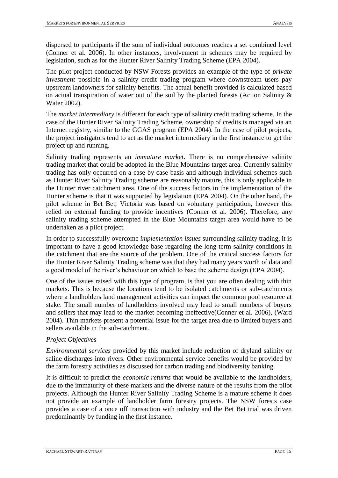dispersed to participants if the sum of individual outcomes reaches a set combined level (Conner et al. 2006). In other instances, involvement in schemes may be required by legislation, such as for the Hunter River Salinity Trading Scheme (EPA 2004).

The pilot project conducted by NSW Forests provides an example of the type of *private investment* possible in a salinity credit trading program where downstream users pay upstream landowners for salinity benefits. The actual benefit provided is calculated based on actual transpiration of water out of the soil by the planted forests (Action Salinity & Water 2002).

The *market intermediary* is different for each type of salinity credit trading scheme. In the case of the Hunter River Salinity Trading Scheme, ownership of credits is managed via an Internet registry, similar to the GGAS program (EPA 2004). In the case of pilot projects, the project instigators tend to act as the market intermediary in the first instance to get the project up and running.

Salinity trading represents an *immature market*. There is no comprehensive salinity trading market that could be adopted in the Blue Mountains target area. Currently salinity trading has only occurred on a case by case basis and although individual schemes such as Hunter River Salinity Trading scheme are reasonably mature, this is only applicable in the Hunter river catchment area. One of the success factors in the implementation of the Hunter scheme is that it was supported by legislation (EPA 2004). On the other hand, the pilot scheme in Bet Bet, Victoria was based on voluntary participation, however this relied on external funding to provide incentives (Conner et al. 2006). Therefore, any salinity trading scheme attempted in the Blue Mountains target area would have to be undertaken as a pilot project.

In order to successfully overcome *implementation issues* surrounding salinity trading, it is important to have a good knowledge base regarding the long term salinity conditions in the catchment that are the source of the problem. One of the critical success factors for the Hunter River Salinity Trading scheme was that they had many years worth of data and a good model of the river"s behaviour on which to base the scheme design (EPA 2004).

One of the issues raised with this type of program, is that you are often dealing with thin markets. This is because the locations tend to be isolated catchments or sub-catchments where a landholders land management activities can impact the common pool resource at stake. The small number of landholders involved may lead to small numbers of buyers and sellers that may lead to the market becoming ineffective(Conner et al. 2006), (Ward 2004). Thin markets present a potential issue for the target area due to limited buyers and sellers available in the sub-catchment.

#### *Project Objectives*

*Environmental services* provided by this market include reduction of dryland salinity or saline discharges into rivers. Other environmental service benefits would be provided by the farm forestry activities as discussed for carbon trading and biodiversity banking.

It is difficult to predict the *economic returns* that would be available to the landholders, due to the immaturity of these markets and the diverse nature of the results from the pilot projects. Although the Hunter River Salinity Trading Scheme is a mature scheme it does not provide an example of landholder farm forestry projects. The NSW forests case provides a case of a once off transaction with industry and the Bet Bet trial was driven predominantly by funding in the first instance.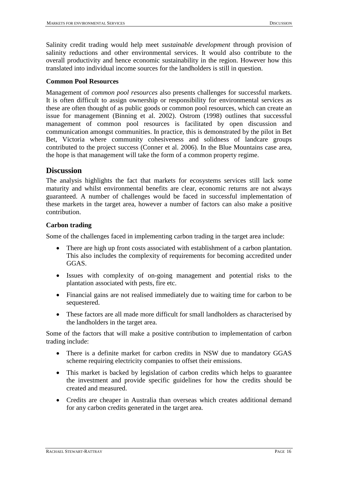Salinity credit trading would help meet *sustainable development* through provision of salinity reductions and other environmental services. It would also contribute to the overall productivity and hence economic sustainability in the region. However how this translated into individual income sources for the landholders is still in question.

### <span id="page-15-0"></span>**Common Pool Resources**

Management of *common pool resources* also presents challenges for successful markets. It is often difficult to assign ownership or responsibility for environmental services as these are often thought of as public goods or common pool resources, which can create an issue for management (Binning et al. 2002). Ostrom (1998) outlines that successful management of common pool resources is facilitated by open discussion and communication amongst communities. In practice, this is demonstrated by the pilot in Bet Bet, Victoria where community cohesiveness and solidness of landcare groups contributed to the project success (Conner et al. 2006). In the Blue Mountains case area, the hope is that management will take the form of a common property regime.

### <span id="page-15-1"></span>**Discussion**

The analysis highlights the fact that markets for ecosystems services still lack some maturity and whilst environmental benefits are clear, economic returns are not always guaranteed. A number of challenges would be faced in successful implementation of these markets in the target area, however a number of factors can also make a positive contribution.

### <span id="page-15-2"></span>**Carbon trading**

Some of the challenges faced in implementing carbon trading in the target area include:

- There are high up front costs associated with establishment of a carbon plantation. This also includes the complexity of requirements for becoming accredited under GGAS.
- Issues with complexity of on-going management and potential risks to the plantation associated with pests, fire etc.
- Financial gains are not realised immediately due to waiting time for carbon to be sequestered.
- These factors are all made more difficult for small landholders as characterised by the landholders in the target area.

Some of the factors that will make a positive contribution to implementation of carbon trading include:

- There is a definite market for carbon credits in NSW due to mandatory GGAS scheme requiring electricity companies to offset their emissions.
- This market is backed by legislation of carbon credits which helps to guarantee the investment and provide specific guidelines for how the credits should be created and measured.
- Credits are cheaper in Australia than overseas which creates additional demand for any carbon credits generated in the target area.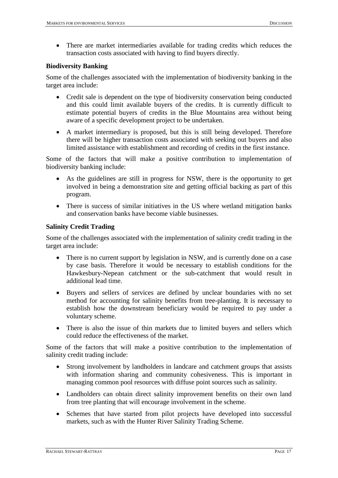There are market intermediaries available for trading credits which reduces the transaction costs associated with having to find buyers directly.

#### <span id="page-16-0"></span>**Biodiversity Banking**

Some of the challenges associated with the implementation of biodiversity banking in the target area include:

- Credit sale is dependent on the type of biodiversity conservation being conducted and this could limit available buyers of the credits. It is currently difficult to estimate potential buyers of credits in the Blue Mountains area without being aware of a specific development project to be undertaken.
- A market intermediary is proposed, but this is still being developed. Therefore there will be higher transaction costs associated with seeking out buyers and also limited assistance with establishment and recording of credits in the first instance.

Some of the factors that will make a positive contribution to implementation of biodiversity banking include:

- As the guidelines are still in progress for NSW, there is the opportunity to get involved in being a demonstration site and getting official backing as part of this program.
- There is success of similar initiatives in the US where wetland mitigation banks and conservation banks have become viable businesses.

#### <span id="page-16-1"></span>**Salinity Credit Trading**

Some of the challenges associated with the implementation of salinity credit trading in the target area include:

- There is no current support by legislation in NSW, and is currently done on a case by case basis. Therefore it would be necessary to establish conditions for the Hawkesbury-Nepean catchment or the sub-catchment that would result in additional lead time.
- Buyers and sellers of services are defined by unclear boundaries with no set method for accounting for salinity benefits from tree-planting. It is necessary to establish how the downstream beneficiary would be required to pay under a voluntary scheme.
- There is also the issue of thin markets due to limited buyers and sellers which could reduce the effectiveness of the market.

Some of the factors that will make a positive contribution to the implementation of salinity credit trading include:

- Strong involvement by landholders in landcare and catchment groups that assists with information sharing and community cohesiveness. This is important in managing common pool resources with diffuse point sources such as salinity.
- Landholders can obtain direct salinity improvement benefits on their own land from tree planting that will encourage involvement in the scheme.
- Schemes that have started from pilot projects have developed into successful markets, such as with the Hunter River Salinity Trading Scheme.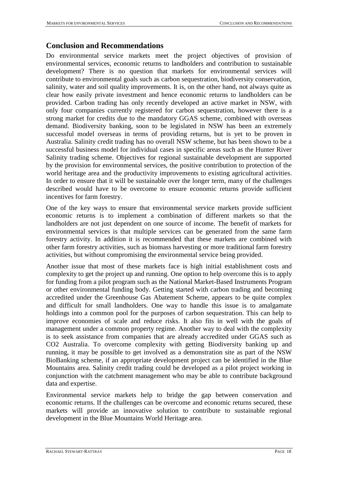### <span id="page-17-0"></span>**Conclusion and Recommendations**

Do environmental service markets meet the project objectives of provision of environmental services, economic returns to landholders and contribution to sustainable development? There is no question that markets for environmental services will contribute to environmental goals such as carbon sequestration, biodiversity conservation, salinity, water and soil quality improvements. It is, on the other hand, not always quite as clear how easily private investment and hence economic returns to landholders can be provided. Carbon trading has only recently developed an active market in NSW, with only four companies currently registered for carbon sequestration, however there is a strong market for credits due to the mandatory GGAS scheme, combined with overseas demand. Biodiversity banking, soon to be legislated in NSW has been an extremely successful model overseas in terms of providing returns, but is yet to be proven in Australia. Salinity credit trading has no overall NSW scheme, but has been shown to be a successful business model for individual cases in specific areas such as the Hunter River Salinity trading scheme. Objectives for regional sustainable development are supported by the provision for environmental services, the positive contribution to protection of the world heritage area and the productivity improvements to existing agricultural activities. In order to ensure that it will be sustainable over the longer term, many of the challenges described would have to be overcome to ensure economic returns provide sufficient incentives for farm forestry.

One of the key ways to ensure that environmental service markets provide sufficient economic returns is to implement a combination of different markets so that the landholders are not just dependent on one source of income. The benefit of markets for environmental services is that multiple services can be generated from the same farm forestry activity. In addition it is recommended that these markets are combined with other farm forestry activities, such as biomass harvesting or more traditional farm forestry activities, but without compromising the environmental service being provided.

Another issue that most of these markets face is high initial establishment costs and complexity to get the project up and running. One option to help overcome this is to apply for funding from a pilot program such as the National Market-Based Instruments Program or other environmental funding body. Getting started with carbon trading and becoming accredited under the Greenhouse Gas Abatement Scheme, appears to be quite complex and difficult for small landholders. One way to handle this issue is to amalgamate holdings into a common pool for the purposes of carbon sequestration. This can help to improve economies of scale and reduce risks. It also fits in well with the goals of management under a common property regime. Another way to deal with the complexity is to seek assistance from companies that are already accredited under GGAS such as CO2 Australia. To overcome complexity with getting Biodiversity banking up and running, it may be possible to get involved as a demonstration site as part of the NSW BioBanking scheme, if an appropriate development project can be identified in the Blue Mountains area. Salinity credit trading could be developed as a pilot project working in conjunction with the catchment management who may be able to contribute background data and expertise.

Environmental service markets help to bridge the gap between conservation and economic returns. If the challenges can be overcome and economic returns secured, these markets will provide an innovative solution to contribute to sustainable regional development in the Blue Mountains World Heritage area.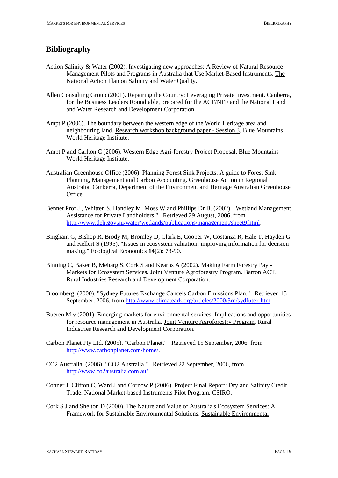## <span id="page-18-0"></span>**Bibliography**

- Action Salinity & Water (2002). Investigating new approaches: A Review of Natural Resource Management Pilots and Programs in Australia that Use Market-Based Instruments. The National Action Plan on Salinity and Water Quality.
- Allen Consulting Group (2001). Repairing the Country: Leveraging Private Investment. Canberra, for the Business Leaders Roundtable, prepared for the ACF/NFF and the National Land and Water Research and Development Corporation.
- Ampt P (2006). The boundary between the western edge of the World Heritage area and neighbouring land. Research workshop background paper - Session 3, Blue Mountains World Heritage Institute.
- Ampt P and Carlton C (2006). Western Edge Agri-forestry Project Proposal, Blue Mountains World Heritage Institute.
- Australian Greenhouse Office (2006). Planning Forest Sink Projects: A guide to Forest Sink Planning, Management and Carbon Accounting. Greenhouse Action in Regional Australia. Canberra, Department of the Environment and Heritage Australian Greenhouse Office.
- Bennet Prof J., Whitten S, Handley M, Moss W and Phillips Dr B. (2002). "Wetland Management Assistance for Private Landholders." Retrieved 29 August, 2006, from [http://www.deh.gov.au/water/wetlands/publications/management/sheet9.html.](http://www.deh.gov.au/water/wetlands/publications/management/sheet9.html)
- Bingham G, Bishop R, Brody M, Bromley D, Clark E, Cooper W, Costanza R, Hale T, Hayden G and Kellert S (1995). "Issues in ecosystem valuation: improving information for decision making." Ecological Economics **14**(2): 73-90.
- Binning C, Baker B, Meharg S, Cork S and Kearns A (2002). Making Farm Forestry Pay Markets for Ecosystem Services. Joint Venture Agroforestry Program. Barton ACT, Rural Industries Research and Development Corporation.
- Bloomberg. (2000). "Sydney Futures Exchange Cancels Carbon Emissions Plan." Retrieved 15 September, 2006, from [http://www.climateark.org/articles/2000/3rd/sydfutex.htm.](http://www.climateark.org/articles/2000/3rd/sydfutex.htm)
- Bueren M v (2001). Emerging markets for environmental services: Implications and opportunities for resource management in Australia. Joint Venture Agroforestry Program, Rural Industries Research and Development Corporation.
- Carbon Planet Pty Ltd. (2005). "Carbon Planet." Retrieved 15 September, 2006, from [http://www.carbonplanet.com/home/.](http://www.carbonplanet.com/home/)
- CO2 Australia. (2006). "CO2 Australia." Retrieved 22 September, 2006, from [http://www.co2australia.com.au/.](http://www.co2australia.com.au/)
- Conner J, Clifton C, Ward J and Cornow P (2006). Project Final Report: Dryland Salinity Credit Trade. National Market-based Instruments Pilot Program, CSIRO.
- Cork S J and Shelton D (2000). The Nature and Value of Australia's Ecosystem Services: A Framework for Sustainable Environmental Solutions. Sustainable Environmental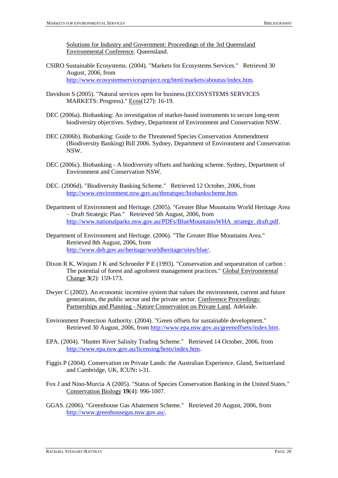Solutions for Industry and Government: Proceedings of the 3rd Queensland Environmental Conference. Queensland.

- CSIRO Sustainable Ecosystems. (2004). "Markets for Ecosystems Services." Retrieved 30 August, 2006, from [http://www.ecosystemservicesproject.org/html/markets/aboutus/index.htm.](http://www.ecosystemservicesproject.org/html/markets/aboutus/index.htm)
- Davidson S (2005). "Natural services open for business.(ECOSYSTEMS SERVICES MARKETS: Progress)." Ecos(127): 16-19.
- DEC (2006a). Biobanking: An investigation of market-based instruments to secure long-term biodiversity objectives. Sydney, Department of Environment and Conservation NSW.
- DEC (2006b). Biobanking: Guide to the Threatened Species Conservation Ammendment (Biodiversity Banking) Bill 2006. Sydney, Department of Environment and Conservation NSW.
- DEC (2006c). Biobanking A biodiversity offsets and banking scheme. Sydney, Department of Environment and Conservation NSW.
- DEC. (2006d). "Biodiversity Banking Scheme." Retrieved 12 October, 2006, from [http://www.environment.nsw.gov.au/threatspec/biobankscheme.htm.](http://www.environment.nsw.gov.au/threatspec/biobankscheme.htm)
- Department of Environment and Heritage. (2005). "Greater Blue Mountains World Heritage Area – Draft Strategic Plan." Retrieved 5th August, 2006, from [http://www.nationalparks.nsw.gov.au/PDFs/BlueMountainsWHA\\_strategy\\_draft.pdf.](http://www.nationalparks.nsw.gov.au/PDFs/BlueMountainsWHA_strategy_draft.pdf)
- Department of Environment and Heritage. (2006). "The Greater Blue Mountains Area." Retrieved 8th August, 2006, from [http://www.deh.gov.au/heritage/worldheritage/sites/blue/.](http://www.deh.gov.au/heritage/worldheritage/sites/blue/)
- Dixon R K, Winjum J K and Schroeder P E (1993). "Conservation and sequestration of carbon : The potential of forest and agroforest management practices." Global Environmental Change **3**(2): 159-173.
- Dwyer C (2002). An economic incentive system that values the environment, current and future generations, the public sector and the private sector. Conference Proceedings: Partnerships and Planning - Nature Conservation on Private Land. Adelaide.
- Environment Protection Authority. (2004). "Green offsets for sustainable development." Retrieved 30 August, 2006, from [http://www.epa.nsw.gov.au/greenoffsets/index.htm.](http://www.epa.nsw.gov.au/greenoffsets/index.htm)
- EPA. (2004). "Hunter River Salinity Trading Scheme." Retrieved 14 October, 2006, from [http://www.epa.nsw.gov.au/licensing/hrsts/index.htm.](http://www.epa.nsw.gov.au/licensing/hrsts/index.htm)
- Figgis P (2004). Conservation on Private Lands: the Australian Experience. Gland, Switzerland and Cambridge, UK, ICUN**:** i-31.
- Fox J and Nino-Murcia A (2005). "Status of Species Conservation Banking in the United States." Conservation Biology **19**(4): 996-1007.
- GGAS. (2006). "Greenhouse Gas Abatement Scheme." Retrieved 20 August, 2006, from [http://www.greenhousegas.nsw.gov.au/.](http://www.greenhousegas.nsw.gov.au/)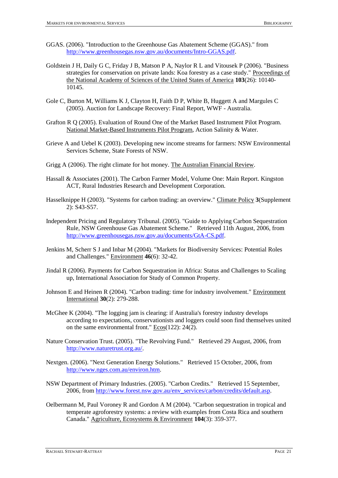- GGAS. (2006). "Introduction to the Greenhouse Gas Abatement Scheme (GGAS)." from [http://www.greenhousegas.nsw.gov.au/documents/Intro-GGAS.pdf.](http://www.greenhousegas.nsw.gov.au/documents/Intro-GGAS.pdf)
- Goldstein J H, Daily G C, Friday J B, Matson P A, Naylor R L and Vitousek P (2006). "Business strategies for conservation on private lands: Koa forestry as a case study." Proceedings of the National Academy of Sciences of the United States of America **103**(26): 10140- 10145.
- Gole C, Burton M, Williams K J, Clayton H, Faith D P, White B, Huggett A and Margules C (2005). Auction for Landscape Recovery: Final Report, WWF - Australia.
- Grafton R Q (2005). Evaluation of Round One of the Market Based Instrument Pilot Program. National Market-Based Instruments Pilot Program, Action Salinity & Water.
- Grieve A and Uebel K (2003). Developing new income streams for farmers: NSW Environmental Services Scheme, State Forests of NSW.
- Grigg A (2006). The right climate for hot money. The Australian Financial Review.
- Hassall & Associates (2001). The Carbon Farmer Model, Volume One: Main Report. Kingston ACT, Rural Industries Research and Development Corporation.
- Hasselknippe H (2003). "Systems for carbon trading: an overview." Climate Policy **3**(Supplement 2): S43-S57.
- Independent Pricing and Regulatory Tribunal. (2005). "Guide to Applying Carbon Sequestration Rule, NSW Greenhouse Gas Abatement Scheme." Retrieved 11th August, 2006, from [http://www.greenhousegas.nsw.gov.au/documents/GtA-CS.pdf.](http://www.greenhousegas.nsw.gov.au/documents/GtA-CS.pdf)
- Jenkins M, Scherr S J and Inbar M (2004). "Markets for Biodiversity Services: Potential Roles and Challenges." Environment **46**(6): 32-42.
- Jindal R (2006). Payments for Carbon Sequestration in Africa: Status and Challenges to Scaling up, International Association for Study of Common Property.
- Johnson E and Heinen R (2004). "Carbon trading: time for industry involvement." Environment International **30**(2): 279-288.
- McGhee K (2004). "The logging jam is clearing: if Australia's forestry industry develops according to expectations, conservationists and loggers could soon find themselves united on the same environmental front." Ecos(122): 24(2).
- Nature Conservation Trust. (2005). "The Revolving Fund." Retrieved 29 August, 2006, from [http://www.naturetrust.org.au/.](http://www.naturetrust.org.au/)
- Nextgen. (2006). "Next Generation Energy Solutions." Retrieved 15 October, 2006, from [http://www.nges.com.au/environ.htm.](http://www.nges.com.au/environ.htm)
- NSW Department of Primary Industries. (2005). "Carbon Credits." Retrieved 15 September, 2006, fro[m http://www.forest.nsw.gov.au/env\\_services/carbon/credits/default.asp.](http://www.forest.nsw.gov.au/env_services/carbon/credits/default.asp)
- Oelbermann M, Paul Voroney R and Gordon A M (2004). "Carbon sequestration in tropical and temperate agroforestry systems: a review with examples from Costa Rica and southern Canada." Agriculture, Ecosystems & Environment **104**(3): 359-377.